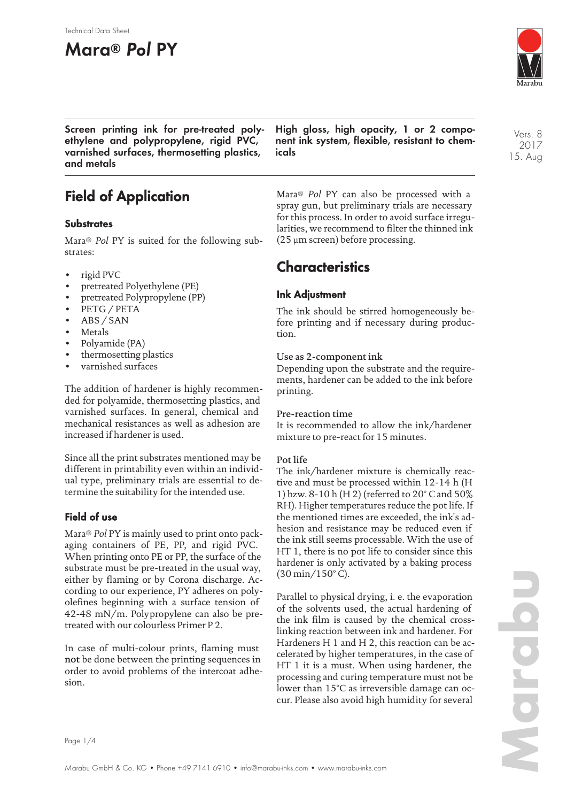#### Technical Data Sheet

# **Mara® Pol PY**



**Screen printing ink for pre-treated polyethylene and polypropylene, rigid PVC, varnished surfaces, thermosetting plastics, and metals**

**High gloss, high opacity, 1 or 2 component ink system, flexible, resistant to chemicals**

# **Field of Application**

#### **Substrates**

Mara® *Pol* PY is suited for the following substrates:

- rigid PVC
- pretreated Polyethylene (PE)
- pretreated Polypropylene (PP)
- PETG / PETA
- ABS / SAN
- **Metals**
- Polyamide (PA)
- thermosetting plastics
- varnished surfaces

The addition of hardener is highly recommended for polyamide, thermosetting plastics, and varnished surfaces. In general, chemical and mechanical resistances as well as adhesion are increased if hardener is used.

Since all the print substrates mentioned may be different in printability even within an individual type, preliminary trials are essential to determine the suitability for the intended use.

### **Field of use**

Mara® *Pol* PY is mainly used to print onto packaging containers of PE, PP, and rigid PVC. When printing onto PE or PP, the surface of the substrate must be pre-treated in the usual way, either by flaming or by Corona discharge. According to our experience, PY adheres on polyolefines beginning with a surface tension of 42-48 mN/m. Polypropylene can also be pretreated with our colourless Primer P 2.

In case of multi-colour prints, flaming must not be done between the printing sequences in order to avoid problems of the intercoat adhesion.

Mara® *Pol* PY can also be processed with a spray gun, but preliminary trials are necessary for this process. In order to avoid surface irregularities, we recommend to filter the thinned ink (25 µm screen) before processing.

## **Characteristics**

### **Ink Adjustment**

The ink should be stirred homogeneously before printing and if necessary during production.

#### Use as 2-component ink

Depending upon the substrate and the requirements, hardener can be added to the ink before printing.

#### Pre-reaction time

It is recommended to allow the ink/hardener mixture to pre-react for 15 minutes.

#### Pot life

The ink/hardener mixture is chemically reactive and must be processed within 12-14 h (H 1) bzw. 8-10 h (H 2) (referred to 20° C and 50% RH). Higher temperatures reduce the pot life. If the mentioned times are exceeded, the ink's adhesion and resistance may be reduced even if the ink still seems processable. With the use of HT 1, there is no pot life to consider since this hardener is only activated by a baking process (30 min/150° C).

Parallel to physical drying, i. e. the evaporation of the solvents used, the actual hardening of the ink film is caused by the chemical crosslinking reaction between ink and hardener. For Hardeners H 1 and H 2, this reaction can be accelerated by higher temperatures, in the case of HT 1 it is a must. When using hardener, the processing and curing temperature must not be lower than 15°C as irreversible damage can occur. Please also avoid high humidity for several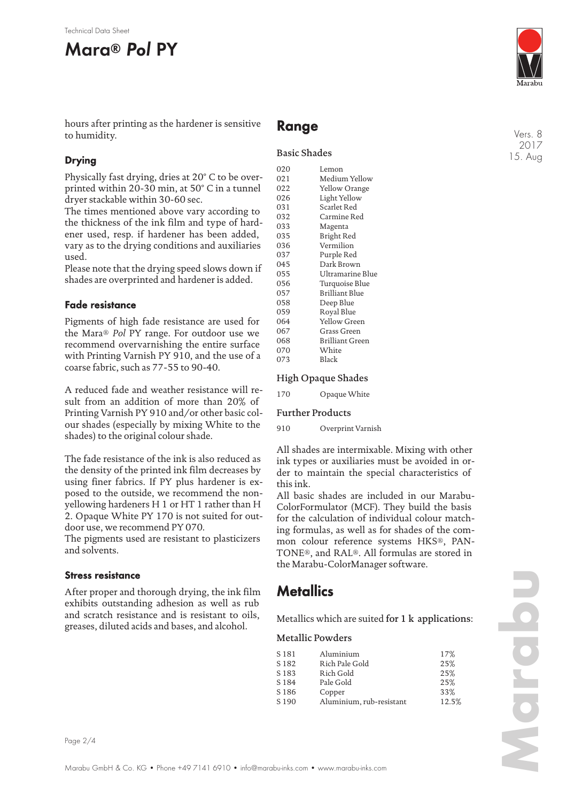

hours after printing as the hardener is sensitive to humidity.

### **Drying**

Physically fast drying, dries at 20° C to be overprinted within 20-30 min, at 50° C in a tunnel dryer stackable within 30-60 sec.

The times mentioned above vary according to the thickness of the ink film and type of hardener used, resp. if hardener has been added, vary as to the drying conditions and auxiliaries used.

Please note that the drying speed slows down if shades are overprinted and hardener is added.

#### **Fade resistance**

Pigments of high fade resistance are used for the Mara® *Pol* PY range. For outdoor use we recommend overvarnishing the entire surface with Printing Varnish PY 910, and the use of a coarse fabric, such as 77-55 to 90-40.

A reduced fade and weather resistance will result from an addition of more than 20% of Printing Varnish PY 910 and/or other basic colour shades (especially by mixing White to the shades) to the original colour shade.

The fade resistance of the ink is also reduced as the density of the printed ink film decreases by using finer fabrics. If PY plus hardener is exposed to the outside, we recommend the nonyellowing hardeners H 1 or HT 1 rather than H 2. Opaque White PY 170 is not suited for outdoor use, we recommend PY 070.

The pigments used are resistant to plasticizers and solvents.

#### **Stress resistance**

After proper and thorough drying, the ink film exhibits outstanding adhesion as well as rub and scratch resistance and is resistant to oils, greases, diluted acids and bases, and alcohol.

### **Range**

#### Basic Shades

| 020 | Lemon            |
|-----|------------------|
| 021 | Medium Yellow    |
| 022 | Yellow Orange    |
| 026 | Light Yellow     |
| 031 | Scarlet Red      |
| 032 | Carmine Red      |
| 033 | Magenta          |
| 035 | Bright Red       |
| 036 | Vermilion        |
| 037 | Purple Red       |
| 045 | Dark Brown       |
| 055 | Ultramarine Blue |
| 056 | Turquoise Blue   |
| 057 | Brilliant Blue   |
| 058 | Deep Blue        |
| 059 | Royal Blue       |
| 064 | Yellow Green     |
| 067 | Grass Green      |
| 068 | Brilliant Green  |
| 070 | White            |
| 073 | Black            |
|     |                  |

#### High Opaque Shades

170 Opaque White

#### Further Products

910 Overprint Varnish

All shades are intermixable. Mixing with other ink types or auxiliaries must be avoided in order to maintain the special characteristics of this ink.

All basic shades are included in our Marabu-ColorFormulator (MCF). They build the basis for the calculation of individual colour matching formulas, as well as for shades of the common colour reference systems HKS®, PAN-TONE®, and RAL®. All formulas are stored in the Marabu-ColorManager software.

## **Metallics**

Metallics which are suited for 1 k applications:

#### Metallic Powders

| S 181            | Aluminium                | 17%   |
|------------------|--------------------------|-------|
| S <sub>182</sub> | Rich Pale Gold           | 25%   |
| S <sub>183</sub> | Rich Gold                | 25%   |
| S <sub>184</sub> | Pale Gold                | 25%   |
| S <sub>186</sub> | Copper                   | 33%   |
| S <sub>190</sub> | Aluminium, rub-resistant | 12.5% |

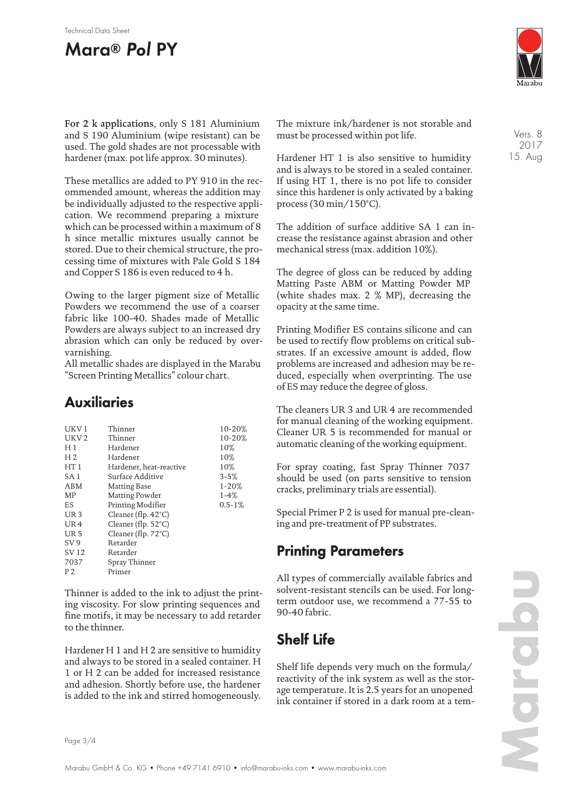#### Technical Data Sheet

# **Mara® Pol PY**



For 2 k applications, only S 181 Aluminium and S 190 Aluminium (wipe resistant) can be used. The gold shades are not processable with hardener (max. pot life approx. 30 minutes).

These metallics are added to PY 910 in the recommended amount, whereas the addition may be individually adjusted to the respective application. We recommend preparing a mixture which can be processed within a maximum of 8 h since metallic mixtures usually cannot be stored. Due to their chemical structure, the processing time of mixtures with Pale Gold S 184 and Copper S 186 is even reduced to 4 h.

Owing to the larger pigment size of Metallic Powders we recommend the use of a coarser fabric like 100-40. Shades made of Metallic Powders are always subject to an increased dry abrasion which can only be reduced by overvarnishing.

All metallic shades are displayed in the Marabu "Screen Printing Metallics" colour chart.

## **Auxiliaries**

| UKV 1            | Thinner                       | 10-20%      |
|------------------|-------------------------------|-------------|
| UKV <sub>2</sub> | Thinner                       | 10-20%      |
| H <sub>1</sub>   | Hardener                      | 10%         |
| H <sub>2</sub>   | Hardener                      | 10%         |
| HT1              | Hardener, heat-reactive       | 10%         |
| SA 1             | Surface Additive              | $3 - 5%$    |
| ABM              | Matting Base                  | $1 - 20%$   |
| MP               | Matting Powder                | $1 - 4%$    |
| ES               | Printing Modifier             | $0.5 - 1\%$ |
| UR <sub>3</sub>  | Cleaner (flp. $42^{\circ}$ C) |             |
| UR <sub>4</sub>  | Cleaner (flp. $52^{\circ}$ C) |             |
| <b>UR5</b>       | Cleaner (flp. $72^{\circ}$ C) |             |
| SV 9             | Retarder                      |             |
| SV 12            | Retarder                      |             |
| 7037             | Spray Thinner                 |             |
| P 2              | Primer                        |             |
|                  |                               |             |

Thinner is added to the ink to adjust the printing viscosity. For slow printing sequences and fine motifs, it may be necessary to add retarder to the thinner.

Hardener H 1 and H 2 are sensitive to humidity and always to be stored in a sealed container. H 1 or H 2 can be added for increased resistance and adhesion. Shortly before use, the hardener is added to the ink and stirred homogeneously.

The mixture ink/hardener is not storable and must be processed within pot life.

Hardener HT 1 is also sensitive to humidity and is always to be stored in a sealed container. If using HT 1, there is no pot life to consider since this hardener is only activated by a baking process (30 min/150°C).

The addition of surface additive SA 1 can increase the resistance against abrasion and other mechanical stress (max. addition 10%).

The degree of gloss can be reduced by adding Matting Paste ABM or Matting Powder MP (white shades max. 2 % MP), decreasing the opacity at the same time.

Printing Modifier ES contains silicone and can be used to rectify flow problems on critical substrates. If an excessive amount is added, flow problems are increased and adhesion may be reduced, especially when overprinting. The use of ES may reduce the degree of gloss.

The cleaners UR 3 and UR 4 are recommended for manual cleaning of the working equipment. Cleaner UR 5 is recommended for manual or automatic cleaning of the working equipment.

For spray coating, fast Spray Thinner 7037 should be used (on parts sensitive to tension cracks, preliminary trials are essential).

Special Primer P 2 is used for manual pre-cleaning and pre-treatment of PP substrates.

## **Printing Parameters**

All types of commercially available fabrics and solvent-resistant stencils can be used. For longterm outdoor use, we recommend a 77-55 to 90-40 fabric.

# **Shelf Life**

Shelf life depends very much on the formula/ reactivity of the ink system as well as the storage temperature. It is 2.5 years for an unopened ink container if stored in a dark room at a tem-